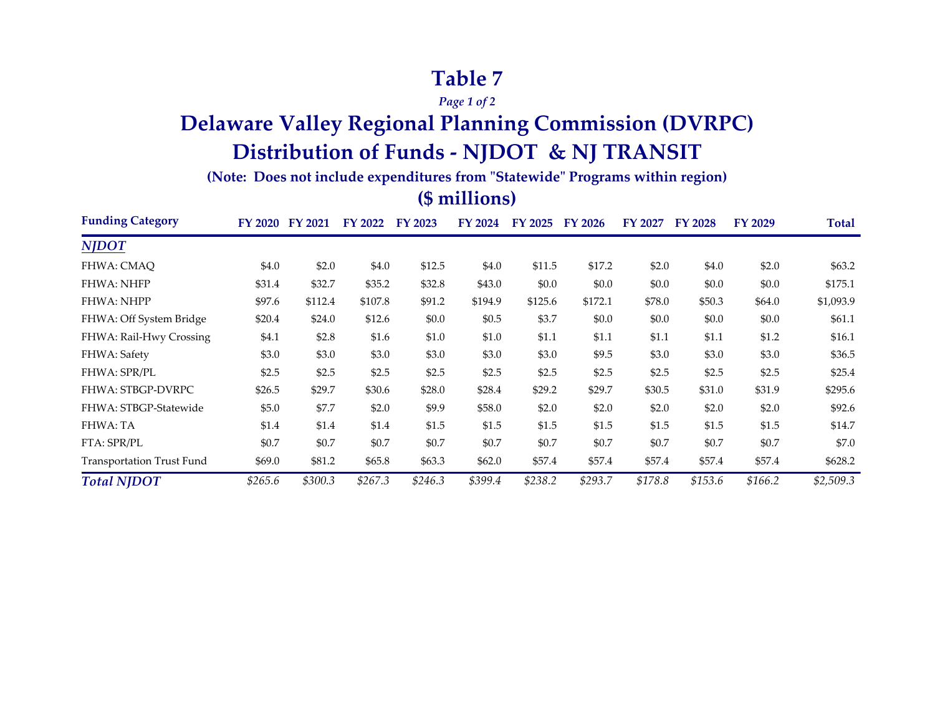## **Table 7**

*Page 1 of 2*

# **Delaware Valley Regional Planning Commission (DVRPC) Distribution of Funds - NJDOT & NJ TRANSIT**

**(Note: Does not include expenditures from "Statewide" Programs within region)**

### **(\$ millions)**

| <b>Funding Category</b>          | FY 2020 | <b>FY 2021</b> | FY 2022  | FY 2023 | FY 2024 | FY 2025 | FY 2026 | FY 2027 | <b>FY 2028</b> | FY 2029 | Total     |
|----------------------------------|---------|----------------|----------|---------|---------|---------|---------|---------|----------------|---------|-----------|
| <b>NJDOT</b>                     |         |                |          |         |         |         |         |         |                |         |           |
| FHWA: CMAO                       | \$4.0   | \$2.0          | \$4.0    | \$12.5  | \$4.0   | \$11.5  | \$17.2  | \$2.0   | \$4.0          | \$2.0   | \$63.2\$  |
| <b>FHWA: NHFP</b>                | \$31.4  | \$32.7         | \$35.2   | \$32.8  | \$43.0  | \$0.0   | \$0.0   | \$0.0   | \$0.0          | \$0.0   | \$175.1   |
| <b>FHWA: NHPP</b>                | \$97.6  | \$112.4        | \$107.8  | \$91.2  | \$194.9 | \$125.6 | \$172.1 | \$78.0  | \$50.3         | \$64.0  | \$1,093.9 |
| FHWA: Off System Bridge          | \$20.4  | \$24.0         | \$12.6   | \$0.0   | \$0.5   | \$3.7   | \$0.0   | \$0.0   | \$0.0          | \$0.0   | \$61.1    |
| FHWA: Rail-Hwy Crossing          | \$4.1   | \$2.8          | \$1.6    | \$1.0   | \$1.0   | \$1.1   | \$1.1   | \$1.1   | \$1.1          | \$1.2   | \$16.1    |
| FHWA: Safety                     | \$3.0   | \$3.0          | \$3.0    | \$3.0   | \$3.0   | \$3.0   | \$9.5   | \$3.0   | \$3.0          | \$3.0   | \$36.5    |
| FHWA: SPR/PL                     | \$2.5   | \$2.5          | \$2.5    | \$2.5   | \$2.5   | \$2.5   | \$2.5   | \$2.5   | \$2.5          | \$2.5   | \$25.4    |
| <b>FHWA: STBGP-DVRPC</b>         | \$26.5  | \$29.7         | \$30.6   | \$28.0  | \$28.4  | \$29.2  | \$29.7  | \$30.5  | \$31.0         | \$31.9  | \$295.6   |
| FHWA: STBGP-Statewide            | \$5.0   | \$7.7          | \$2.0    | \$9.9   | \$58.0  | \$2.0   | \$2.0   | \$2.0   | \$2.0          | \$2.0   | \$92.6    |
| FHWA: TA                         | \$1.4   | \$1.4          | \$1.4    | \$1.5   | \$1.5   | \$1.5   | \$1.5   | \$1.5   | \$1.5          | \$1.5   | \$14.7    |
| FTA: SPR/PL                      | \$0.7   | \$0.7          | \$0.7    | \$0.7   | \$0.7   | \$0.7   | \$0.7   | \$0.7   | \$0.7          | \$0.7   | \$7.0     |
| <b>Transportation Trust Fund</b> | \$69.0  | \$81.2         | \$65.8\$ | \$63.3  | \$62.0  | \$57.4  | \$57.4  | \$57.4  | \$57.4         | \$57.4  | \$628.2   |
| <b>Total NJDOT</b>               | \$265.6 | \$300.3        | \$267.3  | \$246.3 | \$399.4 | \$238.2 | \$293.7 | \$178.8 | \$153.6        | \$166.2 | \$2,509.3 |